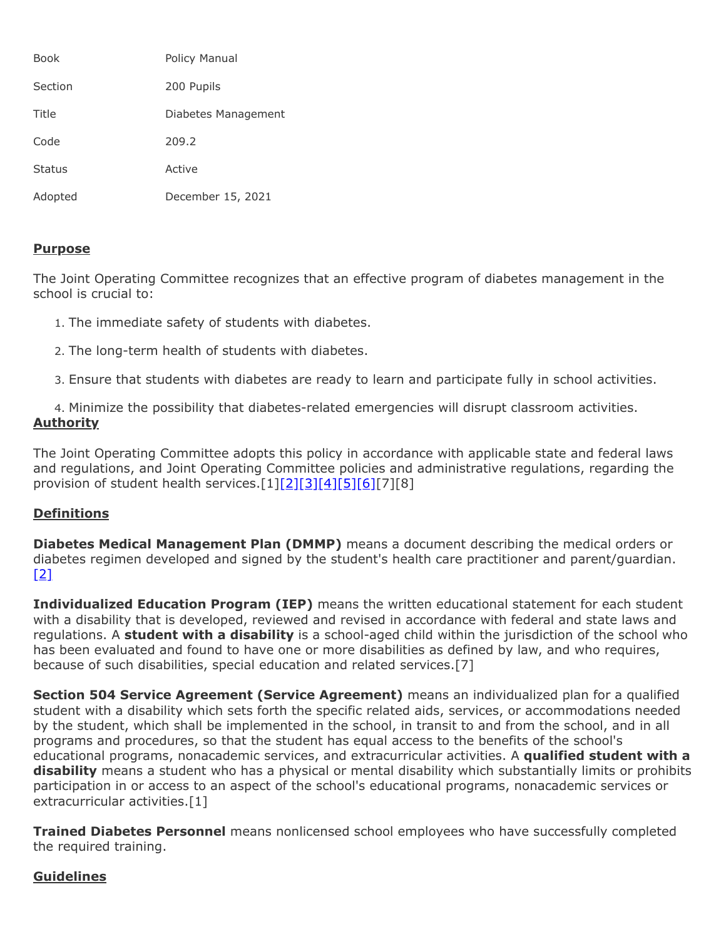| Book          | Policy Manual       |
|---------------|---------------------|
| Section       | 200 Pupils          |
| Title         | Diabetes Management |
| Code          | 209.2               |
| <b>Status</b> | Active              |
| Adopted       | December 15, 2021   |

### **Purpose**

The Joint Operating Committee recognizes that an effective program of diabetes management in the school is crucial to:

- 1. The immediate safety of students with diabetes.
- 2. The long-term health of students with diabetes.
- 3. Ensure that students with diabetes are ready to learn and participate fully in school activities.

4. Minimize the possibility that diabetes-related emergencies will disrupt classroom activities. **Authority**

The Joint Operating Committee adopts this policy in accordance with applicable state and federal laws and regulations, and Joint Operating Committee policies and administrative regulations, regarding the provision of student health services.[1[\]\[2\]](http://www.legis.state.pa.us/cfdocs/legis/LI/uconsCheck.cfm?txtType=HTM&yr=1949&sessInd=0&smthLwInd=0&act=14&chpt=14&sctn=1&subsctn=0)[\[3\]](http://www.legis.state.pa.us/cfdocs/legis/LI/uconsCheck.cfm?txtType=HTM&yr=1949&sessInd=0&smthLwInd=0&act=14&chpt=14&sctn=14&subsctn=5)[\[4\]](http://www.legis.state.pa.us/cfdocs/legis/LI/uconsCheck.cfm?txtType=HTM&yr=1949&sessInd=0&smthLwInd=0&act=14&chpt=14&sctn=14&subsctn=3)[\[5\]](http://www.legis.state.pa.us/cfdocs/legis/LI/uconsCheck.cfm?txtType=HTM&yr=1949&sessInd=0&smthLwInd=0&act=14&chpt=14&sctn=14&subsctn=4)[\[6\]](http://www.legis.state.pa.us/cfdocs/legis/LI/uconsCheck.cfm?txtType=HTM&yr=1949&sessInd=0&smthLwInd=0&act=14&chpt=14&sctn=14&subsctn=7)[7][8]

# **Definitions**

**Diabetes Medical Management Plan (DMMP)** means a document describing the medical orders or diabetes regimen developed and signed by the student's health care practitioner and parent/guardian.  $[2]$ 

**Individualized Education Program (IEP)** means the written educational statement for each student with a disability that is developed, reviewed and revised in accordance with federal and state laws and regulations. A **student with a disability** is a school-aged child within the jurisdiction of the school who has been evaluated and found to have one or more disabilities as defined by law, and who requires, because of such disabilities, special education and related services.[7]

**Section 504 Service Agreement (Service Agreement)** means an individualized plan for a qualified student with a disability which sets forth the specific related aids, services, or accommodations needed by the student, which shall be implemented in the school, in transit to and from the school, and in all programs and procedures, so that the student has equal access to the benefits of the school's educational programs, nonacademic services, and extracurricular activities. A **qualified student with a disability** means a student who has a physical or mental disability which substantially limits or prohibits participation in or access to an aspect of the school's educational programs, nonacademic services or extracurricular activities.[1]

**Trained Diabetes Personnel** means nonlicensed school employees who have successfully completed the required training.

# **Guidelines**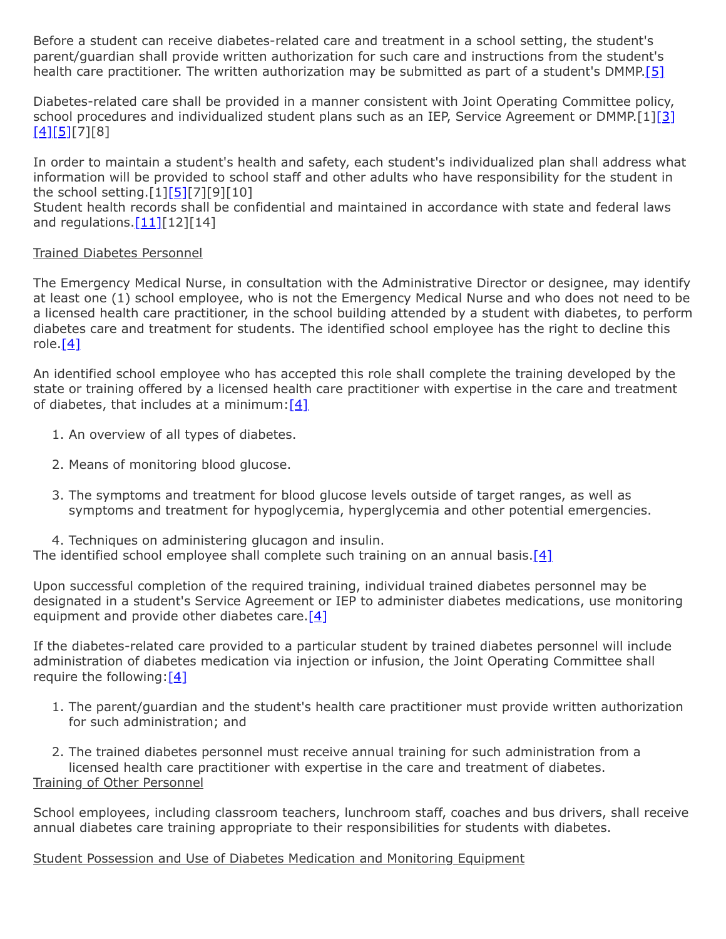Before a student can receive diabetes-related care and treatment in a school setting, the student's parent/guardian shall provide written authorization for such care and instructions from the student's health care practitioner. The written authorization may be submitted as part of a student's DMMP[.\[5\]](http://www.legis.state.pa.us/cfdocs/legis/LI/uconsCheck.cfm?txtType=HTM&yr=1949&sessInd=0&smthLwInd=0&act=14&chpt=14&sctn=14&subsctn=4)

Diabetes-related care shall be provided in a manner consistent with Joint Operating Committee policy, school procedures and individualized student plans such as an IEP, Service Agreement or DMMP.[1[\]\[3\]](http://www.legis.state.pa.us/cfdocs/legis/LI/uconsCheck.cfm?txtType=HTM&yr=1949&sessInd=0&smthLwInd=0&act=14&chpt=14&sctn=14&subsctn=5)  $[4][5][7][8]$  $[4][5][7][8]$  $[4][5][7][8]$ 

In order to maintain a student's health and safety, each student's individualized plan shall address what information will be provided to school staff and other adults who have responsibility for the student in the school setting.[1][\[5\]](http://www.legis.state.pa.us/cfdocs/legis/LI/uconsCheck.cfm?txtType=HTM&yr=1949&sessInd=0&smthLwInd=0&act=14&chpt=14&sctn=14&subsctn=4)[7][9][10]

Student health records shall be confidential and maintained in accordance with state and federal laws and regulations.  $[11][12][14]$  $[11][12][14]$ 

#### Trained Diabetes Personnel

The Emergency Medical Nurse, in consultation with the Administrative Director or designee, may identify at least one (1) school employee, who is not the Emergency Medical Nurse and who does not need to be a licensed health care practitioner, in the school building attended by a student with diabetes, to perform diabetes care and treatment for students. The identified school employee has the right to decline this role. $[4]$ 

An identified school employee who has accepted this role shall complete the training developed by the state or training offered by a licensed health care practitioner with expertise in the care and treatment of diabetes, that includes at a minimum: $[4]$ 

- 1. An overview of all types of diabetes.
- 2. Means of monitoring blood glucose.
- 3. The symptoms and treatment for blood glucose levels outside of target ranges, as well as symptoms and treatment for hypoglycemia, hyperglycemia and other potential emergencies.
- 4. Techniques on administering glucagon and insulin.
- The identified school employee shall complete such training on an annual basis.[\[4\]](http://www.legis.state.pa.us/cfdocs/legis/LI/uconsCheck.cfm?txtType=HTM&yr=1949&sessInd=0&smthLwInd=0&act=14&chpt=14&sctn=14&subsctn=3)

Upon successful completion of the required training, individual trained diabetes personnel may be designated in a student's Service Agreement or IEP to administer diabetes medications, use monitoring equipment and provide other diabetes care. $[4]$ 

If the diabetes-related care provided to a particular student by trained diabetes personnel will include administration of diabetes medication via injection or infusion, the Joint Operating Committee shall require the following: $[4]$ 

1. The parent/guardian and the student's health care practitioner must provide written authorization for such administration; and

2. The trained diabetes personnel must receive annual training for such administration from a licensed health care practitioner with expertise in the care and treatment of diabetes. Training of Other Personnel

School employees, including classroom teachers, lunchroom staff, coaches and bus drivers, shall receive annual diabetes care training appropriate to their responsibilities for students with diabetes.

Student Possession and Use of Diabetes Medication and Monitoring Equipment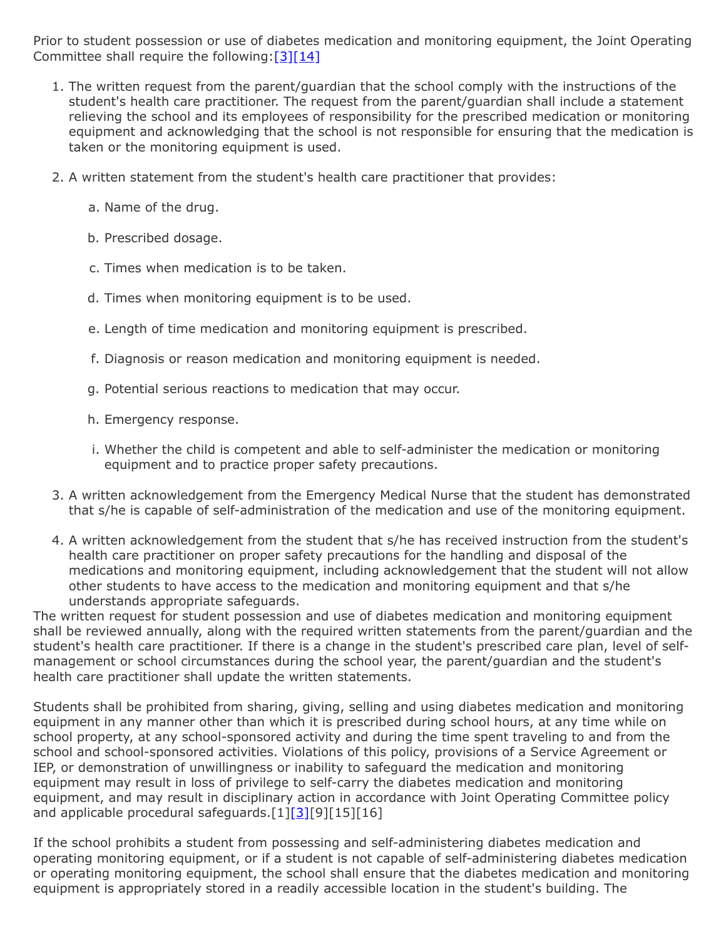Prior to student possession or use of diabetes medication and monitoring equipment, the Joint Operating Committee shall require the following:[\[3\]](http://www.legis.state.pa.us/cfdocs/legis/LI/uconsCheck.cfm?txtType=HTM&yr=1949&sessInd=0&smthLwInd=0&act=14&chpt=14&sctn=14&subsctn=5)[\[14\]](http://pacodeandbulletin.gov/Display/pacode?file=/secure/pacode/data/022/chapter12/s12.41.html&d=reduce)

- 1. The written request from the parent/guardian that the school comply with the instructions of the student's health care practitioner. The request from the parent/guardian shall include a statement relieving the school and its employees of responsibility for the prescribed medication or monitoring equipment and acknowledging that the school is not responsible for ensuring that the medication is taken or the monitoring equipment is used.
- 2. A written statement from the student's health care practitioner that provides:
	- a. Name of the drug.
	- b. Prescribed dosage.
	- c. Times when medication is to be taken.
	- d. Times when monitoring equipment is to be used.
	- e. Length of time medication and monitoring equipment is prescribed.
	- f. Diagnosis or reason medication and monitoring equipment is needed.
	- g. Potential serious reactions to medication that may occur.
	- h. Emergency response.
	- i. Whether the child is competent and able to self-administer the medication or monitoring equipment and to practice proper safety precautions.
- 3. A written acknowledgement from the Emergency Medical Nurse that the student has demonstrated that s/he is capable of self-administration of the medication and use of the monitoring equipment.
- 4. A written acknowledgement from the student that s/he has received instruction from the student's health care practitioner on proper safety precautions for the handling and disposal of the medications and monitoring equipment, including acknowledgement that the student will not allow other students to have access to the medication and monitoring equipment and that s/he understands appropriate safeguards.

The written request for student possession and use of diabetes medication and monitoring equipment shall be reviewed annually, along with the required written statements from the parent/guardian and the student's health care practitioner. If there is a change in the student's prescribed care plan, level of selfmanagement or school circumstances during the school year, the parent/guardian and the student's health care practitioner shall update the written statements.

Students shall be prohibited from sharing, giving, selling and using diabetes medication and monitoring equipment in any manner other than which it is prescribed during school hours, at any time while on school property, at any school-sponsored activity and during the time spent traveling to and from the school and school-sponsored activities. Violations of this policy, provisions of a Service Agreement or IEP, or demonstration of unwillingness or inability to safeguard the medication and monitoring equipment may result in loss of privilege to self-carry the diabetes medication and monitoring equipment, and may result in disciplinary action in accordance with Joint Operating Committee policy and applicable procedural safeguards.[1][\[3\]](http://www.legis.state.pa.us/cfdocs/legis/LI/uconsCheck.cfm?txtType=HTM&yr=1949&sessInd=0&smthLwInd=0&act=14&chpt=14&sctn=14&subsctn=5)[9][15][16]

If the school prohibits a student from possessing and self-administering diabetes medication and operating monitoring equipment, or if a student is not capable of self-administering diabetes medication or operating monitoring equipment, the school shall ensure that the diabetes medication and monitoring equipment is appropriately stored in a readily accessible location in the student's building. The